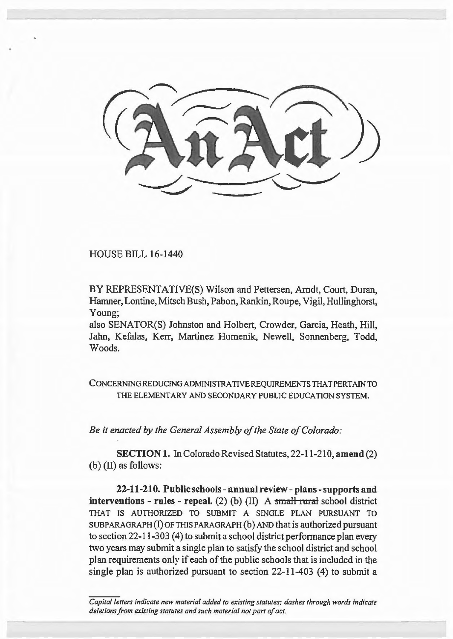

HOUSE BILL 16-1440

BY REPRESENTATIVE(S) Wilson and Pettersen, Arndt, Court, Duran, Hamner, Lontine, Mitsch Bush, Pabon, Rankin, Roupe, Vigil, Hullinghorst, Young;

also SENATOR(S) Johnston and Holbert, Crowder, Garcia, Heath, Hill, Jahn, Kefalas, Kerr, Martinez Humenik, Newell, Sonnenberg, Todd, Woods.

CONCERNING REDUCING ADMINISTRATIVE REQUIREMENTS THAT PERTAIN TO THE ELEMENTARY AND SECONDARY PUBLIC EDUCATION SYSTEM.

*Be it enacted by the General Assembly of the State of Colorado:* 

SECTION 1. In Colorado Revised Statutes, 22-11-210, amend (2) (b) (II) as follows:

22-11-210. Public schools- annual review- plans-supports and interventions - rules - repeal. (2) (b) (II) A small rural school district THAT IS AUTHORIZED TO SUBMIT A SINGLE PLAN PURSUANT TO SUBPARAGRAPH (I) OF THIS PARAGRAPH (b) AND that is authorized pursuant to section  $22-11-303$  (4) to submit a school district performance plan every two years may submit a single plan to satisfy the school district and school plan requirements only if each of the public schools that is included in the single plan is authorized pursuant to section 22-11-403 (4) to submit a

*Capital letters indicate new material added to existing statutes; dashes through words indicate deletions from existing statutes and such material not part of act.*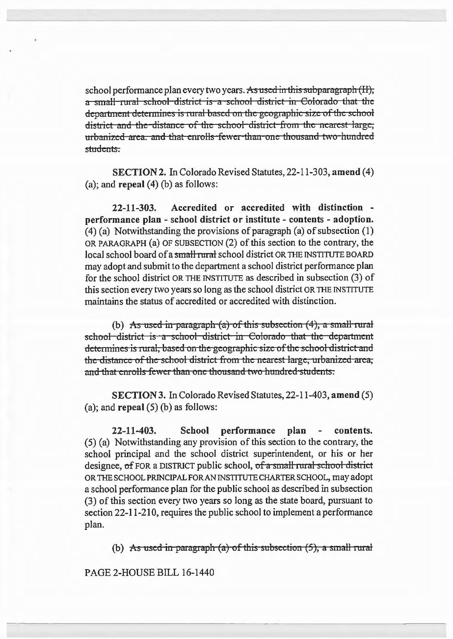school performance plan every two years. As used in this subparagraph (II), a small rural school district is a school district in Colorado that the department determines is rural based on the geographic size of the school district and the distance of the school district from the nearest large, urbanized area, and that enrolls fewer than one thousand two hundred students.

SECTION 2. In Colorado Revised Statutes, 22-11-303, amend (4) (a); and repeal  $(4)$  (b) as follows:

22-11-303. Accredited or accredited with distinction performance plan - school district or institute - contents - adoption. (4) (a) Notwithstanding the provisions of paragraph (a) of subsection (1) OR PARAGRAPH (a) OF SUBSECTION (2) of this section to the contrary, the local school board of a small rural school district OR THE INSTITUTE BOARD may adopt and submit to the department a school district performance plan for the school district OR THE INSTITUTE as described in subsection (3) of this section every two years so long as the school district OR THE INSTITUTE maintains the status of accredited or accredited with distinction.

(b) As used in paragraph  $(a)$  of this subsection  $(4)$ , a small rural school district is a school district in Colorado that the department determines is rural, based on the geographic size of the school district and the distance of the school district from the nearest large, urbanized area; and that enrolls fewer than one thousand two hundred students.

SECTION 3. In Colorado Revised Statutes, 22-11-403, amend (5) (a); and **repeal**  $(5)$  (b) as follows:

22-11-403. School performance plan contents. (5) (a) Notwithstanding any provision of this section to the contrary, the school principal and the school district superintendent, or his or her designee, of FOR a DISTRICT public school, of a small rural school district OR THE SCHOOL PRINCIPAL FOR AN INSTITUTE CHARTER SCHOOL, may adopt a school perfonnance plan for the public school as described in subsection (3) of this section every two years so long as the state board, pursuant to section 22-11-210, requires the public school to implement a performance plan.

(b) As used in paragraph (a) of this subsection  $(5)$ , a small rural

PAGE 2-HOUSE BILL 16-1440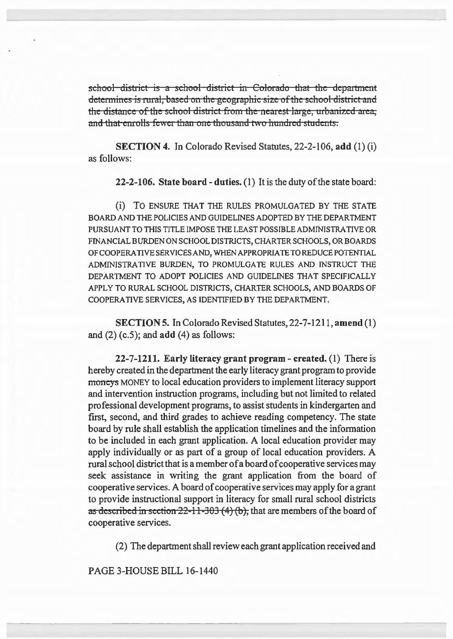school district is a school district in Colorado that the department determines is rural, based on the geographic size of the school district and the distance of the school district from the nearest large, urbanized area; and that enrolls fewer than one thousand two hundred students.

SECTION 4. In Colorado Revised Statutes, 22-2-106, add (1) (i) as follows:

22-2-106. State board- duties. (1) It is the duty of the state board:

(i) TO ENSURE THAT THE RULES PROMULGATED BY THE STATE BOARD AND THE POLICIES AND GUIDELINES ADOPTED BY THE DEPARTMENT PURSUANT TO THIS TITLE IMPOSE THE LEAST POSSIBLE ADMINISTRATIVE OR FINANCIAL BURDEN ON SCHOOL DISTRICTS, CHARTER SCHOOLS, OR BOARDS OF COOPERATIVE SERVICES AND, WHEN APPROPRIATE TO REDUCE POTENTIAL ADMINISTRATIVE BURDEN, TO PROMULGATE RULES AND INSTRUCT THE DEPARTMENT TO ADOPT POLICIES AND GUIDELINES THAT SPECIFICALLY APPLY TO RURAL SCHOOL DISTRICTS, CHARTER SCHOOLS, AND BOARDS OF COOPERATIVE SERVICES, AS IDENTIFIED BY THE DEPARTMENT.

SECTION 5. In Colorado Revised Statutes, 22-7-1211, amend (1) and  $(2)$  (c.5); and  $add$   $(4)$  as follows:

22-7-1211. Early literacy grant program- created. (1) There is hereby created in the department the early literacy grant program to provide moneys MONEY to local education providers to implement literacy support and intervention instruction programs, including but not limited to related professional development programs, to assist students in kindergarten and first, second, and third grades to achieve reading competency. The state board by rule shall establish the application timelines and the information to be included in each grant application. A local education provider may apply individually or as part of a group of local education providers. A rural school district that is a member of a board of cooperative services may seek assistance in writing the grant application from the board of cooperative services. A board of cooperative services may apply for a grant to provide instructional support in literacy for small rural school districts as described in section  $22-11-303(4)(b)$ , that are members of the board of cooperative services.

(2) The department shall review each grant application received and

PAGE 3-HOUSE BILL 16-1440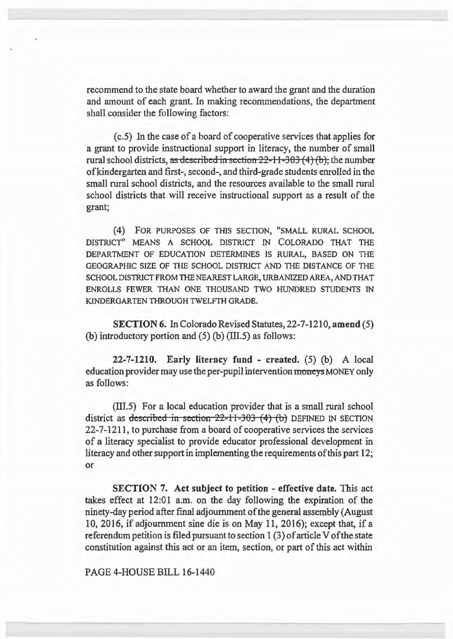recommend to the state board whether to award the grant and the duration and amount of each grant. In making recommendations, the department shall consider the following factors:

( c.5) In the case of a board of cooperative services that applies for a grant to provide instructional support in literacy, the number of small rural school districts, as described in section  $22-11-303(4)$  (b), the number ofkindergarten and first-, second-, and third-grade students enrolled in the small rural school districts, and the resources available to the small rural school districts that will receive instructional support as a result of the grant;

(4) FOR PURPOSES OF THIS SECTION, "SMALL RURAL SCHOOL DISTRICT" MEANS A SCHOOL DISTRICT IN COLORADO THAT THE DEPARTMENT OF EDUCATION DETERMINES IS RURAL, BASED ON THE GEOGRAPHIC SIZE OF THE SCHOOL DISTRICT AND THE DISTANCE OF THE SCHOOL DISTRICT FROM THE NEAREST LARGE, URBANIZED AREA, AND THAT ENROLLS FEWER THAN ONE THOUSAND TWO HUNDRED STUDENTS IN KINDERGARTEN THROUGH TWELFTH GRADE.

SECTION 6. In Colorado Revised Statutes, 22-7-1210, amend (5) (b) introductory portion and  $(5)$  (b) (III.5) as follows:

 $22-7-1210$ . Early literacy fund - created.  $(5)$  (b) A local education provider may use the per-pupil intervention moneys MONEY only as follows:

(lll.5) For a local education provider that is a small rural school district as described in section  $22-11-303$  (4) (b) DEFINED IN SECTION 22-7-1211, to purchase from a board of cooperative services the services of a literacy specialist to provide educator professional development in literacy and other support in implementing the requirements of this part 12; or

SECTION 7. Act subject to petition - effective date. This act takes effect at 12:01 a.m. on the day following the expiration of the ninety-day period after final adjournment of the general assembly (August 10, 2016, if adjournment sine die is on May 11, 2016); except that, if a referendum petition is filed pursuant to section 1 (3) of article V of the state constitution against this act or an item, section, or part of this act within

PAGE 4-HOUSE BILL 16-1440